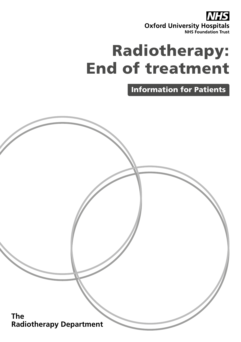

# Radiotherapy: End of treatment

Information for Patients

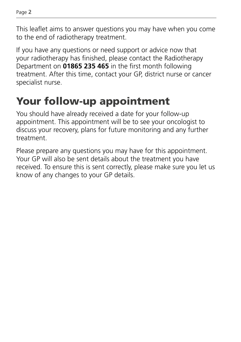This leaflet aims to answer questions you may have when you come to the end of radiotherapy treatment.

If you have any questions or need support or advice now that your radiotherapy has finished, please contact the Radiotherapy Department on **01865 235 465** in the first month following treatment. After this time, contact your GP, district nurse or cancer specialist nurse.

## Your follow-up appointment

You should have already received a date for your follow-up appointment. This appointment will be to see your oncologist to discuss your recovery, plans for future monitoring and any further treatment.

Please prepare any questions you may have for this appointment. Your GP will also be sent details about the treatment you have received. To ensure this is sent correctly, please make sure you let us know of any changes to your GP details.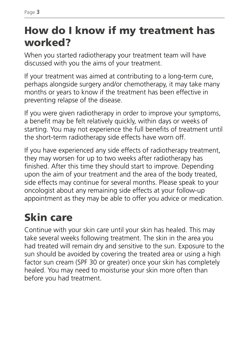## How do I know if my treatment has worked?

When you started radiotherapy your treatment team will have discussed with you the aims of your treatment.

If your treatment was aimed at contributing to a long-term cure, perhaps alongside surgery and/or chemotherapy, it may take many months or years to know if the treatment has been effective in preventing relapse of the disease.

If you were given radiotherapy in order to improve your symptoms, a benefit may be felt relatively quickly, within days or weeks of starting. You may not experience the full benefits of treatment until the short-term radiotherapy side effects have worn off.

If you have experienced any side effects of radiotherapy treatment, they may worsen for up to two weeks after radiotherapy has finished. After this time they should start to improve. Depending upon the aim of your treatment and the area of the body treated, side effects may continue for several months. Please speak to your oncologist about any remaining side effects at your follow-up appointment as they may be able to offer you advice or medication.

## Skin care

Continue with your skin care until your skin has healed. This may take several weeks following treatment. The skin in the area you had treated will remain dry and sensitive to the sun. Exposure to the sun should be avoided by covering the treated area or using a high factor sun cream (SPF 30 or greater) once your skin has completely healed. You may need to moisturise your skin more often than before you had treatment.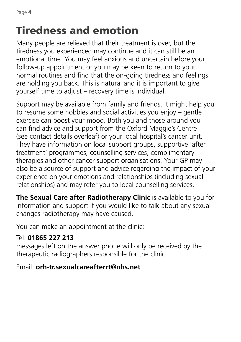## Tiredness and emotion

Many people are relieved that their treatment is over, but the tiredness you experienced may continue and it can still be an emotional time. You may feel anxious and uncertain before your follow-up appointment or you may be keen to return to your normal routines and find that the on-going tiredness and feelings are holding you back. This is natural and it is important to give yourself time to adjust – recovery time is individual.

Support may be available from family and friends. It might help you to resume some hobbies and social activities you enjoy – gentle exercise can boost your mood. Both you and those around you can find advice and support from the Oxford Maggie's Centre (see contact details overleaf) or your local hospital's cancer unit. They have information on local support groups, supportive 'after treatment' programmes, counselling services, complimentary therapies and other cancer support organisations. Your GP may also be a source of support and advice regarding the impact of your experience on your emotions and relationships (including sexual relationships) and may refer you to local counselling services.

**The Sexual Care after Radiotherapy Clinic** is available to you for information and support if you would like to talk about any sexual changes radiotherapy may have caused.

You can make an appointment at the clinic:

### Tel: **01865 227 213**

messages left on the answer phone will only be received by the therapeutic radiographers responsible for the clinic.

Email: **orh-tr.sexualcareafterrt@nhs.net**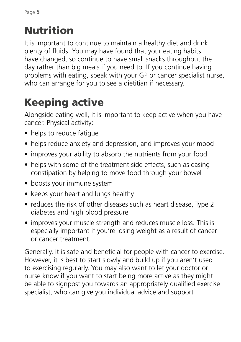## Nutrition

It is important to continue to maintain a healthy diet and drink plenty of fluids. You may have found that your eating habits have changed, so continue to have small snacks throughout the day rather than big meals if you need to. If you continue having problems with eating, speak with your GP or cancer specialist nurse, who can arrange for you to see a dietitian if necessary.

## Keeping active

Alongside eating well, it is important to keep active when you have cancer. Physical activity:

- helps to reduce fatique
- helps reduce anxiety and depression, and improves your mood
- improves your ability to absorb the nutrients from your food
- helps with some of the treatment side effects, such as easing constipation by helping to move food through your bowel
- boosts your immune system
- keeps your heart and lungs healthy
- reduces the risk of other diseases such as heart disease, Type 2 diabetes and high blood pressure
- improves your muscle strength and reduces muscle loss. This is especially important if you're losing weight as a result of cancer or cancer treatment.

Generally, it is safe and beneficial for people with cancer to exercise. However, it is best to start slowly and build up if you aren't used to exercising regularly. You may also want to let your doctor or nurse know if you want to start being more active as they might be able to signpost you towards an appropriately qualified exercise specialist, who can give you individual advice and support.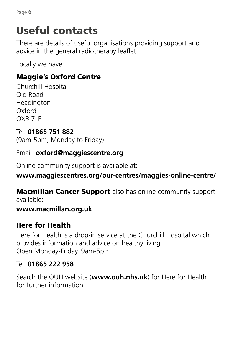## Useful contacts

There are details of useful organisations providing support and advice in the general radiotherapy leaflet.

Locally we have:

### Maggie's Oxford Centre

Churchill Hospital Old Road Headington Oxford OX3 7LE

#### Tel: **01865 751 882** (9am-5pm, Monday to Friday)

Email: **oxford@maggiescentre.org**

Online community support is available at:

### **www.maggiescentres.org/our-centres/maggies-online-centre/**

**Macmillan Cancer Support** also has online community support available:

### **www.macmillan.org.uk**

### Here for Health

Here for Health is a drop-in service at the Churchill Hospital which provides information and advice on healthy living. Open Monday-Friday, 9am-5pm.

### Tel: **01865 222 958**

Search the OUH website (**www.ouh.nhs.uk**) for Here for Health for further information.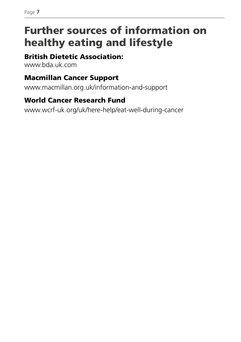## Further sources of information on healthy eating and lifestyle

### British Dietetic Association:

www.bda.uk.com

#### Macmillan Cancer Support

www.macmillan.org.uk/information-and-support

### World Cancer Research Fund

www.wcrf-uk.org/uk/here-help/eat-well-during-cancer